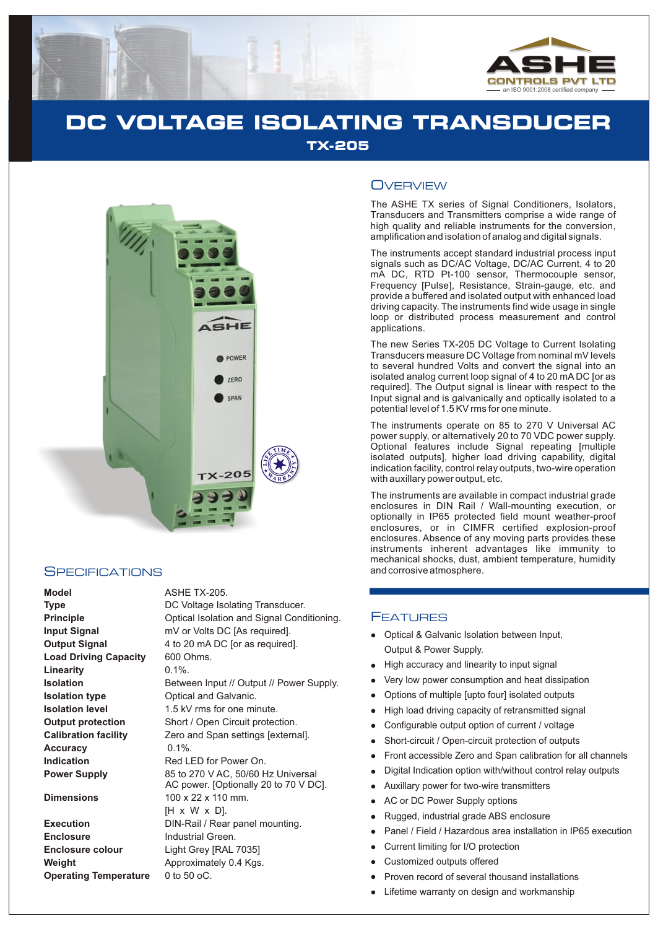

# **DC VOLTAGE ISOLATING TRANSDUCER TX-205**



## **SPECIFICATIONS**

**Model** ASHE TX-205. **Principle Input Signal Output Signal Load Driving Capacity Linearity Isolation Isolation type Isolation level Output protection Calibration facility Accuracy Indication Power Supply** 

**Execution Enclosure Enclosure colour Weight Operating Temperature** 0 to 50 oC.

| <b>Type</b>                  | DC Voltage Isolating Transducer.          |
|------------------------------|-------------------------------------------|
| <b>Principle</b>             | Optical Isolation and Signal Conditioning |
| Input Signal                 | mV or Volts DC [As required].             |
| Output Signal                | 4 to 20 mA DC [or as required].           |
| <b>Load Driving Capacity</b> | 600 Ohms.                                 |
| Linearitv                    | $0.1\%$ .                                 |
| Isolation                    | Between Input // Output // Power Supply.  |
| Isolation type               | Optical and Galvanic.                     |
| <b>Isolation level</b>       | 1.5 kV rms for one minute.                |
| <b>Output protection</b>     | Short / Open Circuit protection.          |
| <b>Calibration facility</b>  | Zero and Span settings [external].        |
| Accuracy                     | $0.1\%$ .                                 |
| Indication                   | Red LED for Power On.                     |
| <b>Power Supply</b>          | 85 to 270 V AC, 50/60 Hz Universal        |
|                              | AC power. [Optionally 20 to 70 V DC].     |
| <b>Dimensions</b>            | 100 x 22 x 110 mm.                        |
|                              | $[H \times W \times D]$ .                 |
| Execution                    | DIN-Rail / Rear panel mounting.           |
| <b>Enclosure</b>             | Industrial Green.                         |
| <b>Enclosure colour</b>      | Light Grey [RAL 7035]                     |
| Weight                       | Approximately 0.4 Kgs.                    |
|                              |                                           |

## **OVERVIEW**

The ASHE TX series of Signal Conditioners, Isolators, Transducers and Transmitters comprise a wide range of high quality and reliable instruments for the conversion, amplification and isolation of analog and digital signals.

The instruments accept standard industrial process input signals such as DC/AC Voltage, DC/AC Current, 4 to 20 mA DC, RTD Pt-100 sensor, Thermocouple sensor, Frequency [Pulse], Resistance, Strain-gauge, etc. and provide a buffered and isolated output with enhanced load driving capacity. The instruments find wide usage in single loop or distributed process measurement and control applications.

The new Series TX-205 DC Voltage to Current Isolating Transducers measure DC Voltage from nominal mV levels to several hundred Volts and convert the signal into an isolated analog current loop signal of 4 to 20 mA DC [or as required]. The Output signal is linear with respect to the Input signal and is galvanically and optically isolated to a potential level of 1.5 KV rms for one minute.

Optional features include Signal repeating [multiple isolated outputs], higher load driving capability, digital indication facility, control relay outputs, two-wire operation with auxillary power output, etc. The instruments operate on 85 to 270 V Universal AC power supply, or alternatively 20 to 70 VDC power supply.

The instruments are available in compact industrial grade enclosures in DIN Rail / Wall-mounting execution, or optionally in IP65 protected field mount weather-proof enclosures, or in CIMFR certified explosion-proof enclosures. Absence of any moving parts provides these instruments inherent advantages like immunity to mechanical shocks, dust, ambient temperature, humidity and corrosive atmosphere.

### **FEATURES**

- Optical & Galvanic Isolation between Input, Output & Power Supply.
- High accuracy and linearity to input signal
- Very low power consumption and heat dissipation
- llllllllllllllll Options of multiple [upto four] isolated outputs
- High load driving capacity of retransmitted signal
- Configurable output option of current / voltage  $\bullet$
- Short-circuit / Open-circuit protection of outputs
- Front accessible Zero and Span calibration for all channels
- Digital Indication option with/without control relay outputs
- Auxillary power for two-wire transmitters
- AC or DC Power Supply options
- Rugged, industrial grade ABS enclosure
- Panel / Field / Hazardous area installation in IP65 execution
- Current limiting for I/O protection
- Customized outputs offered
- Proven record of several thousand installations
- Lifetime warranty on design and workmanship